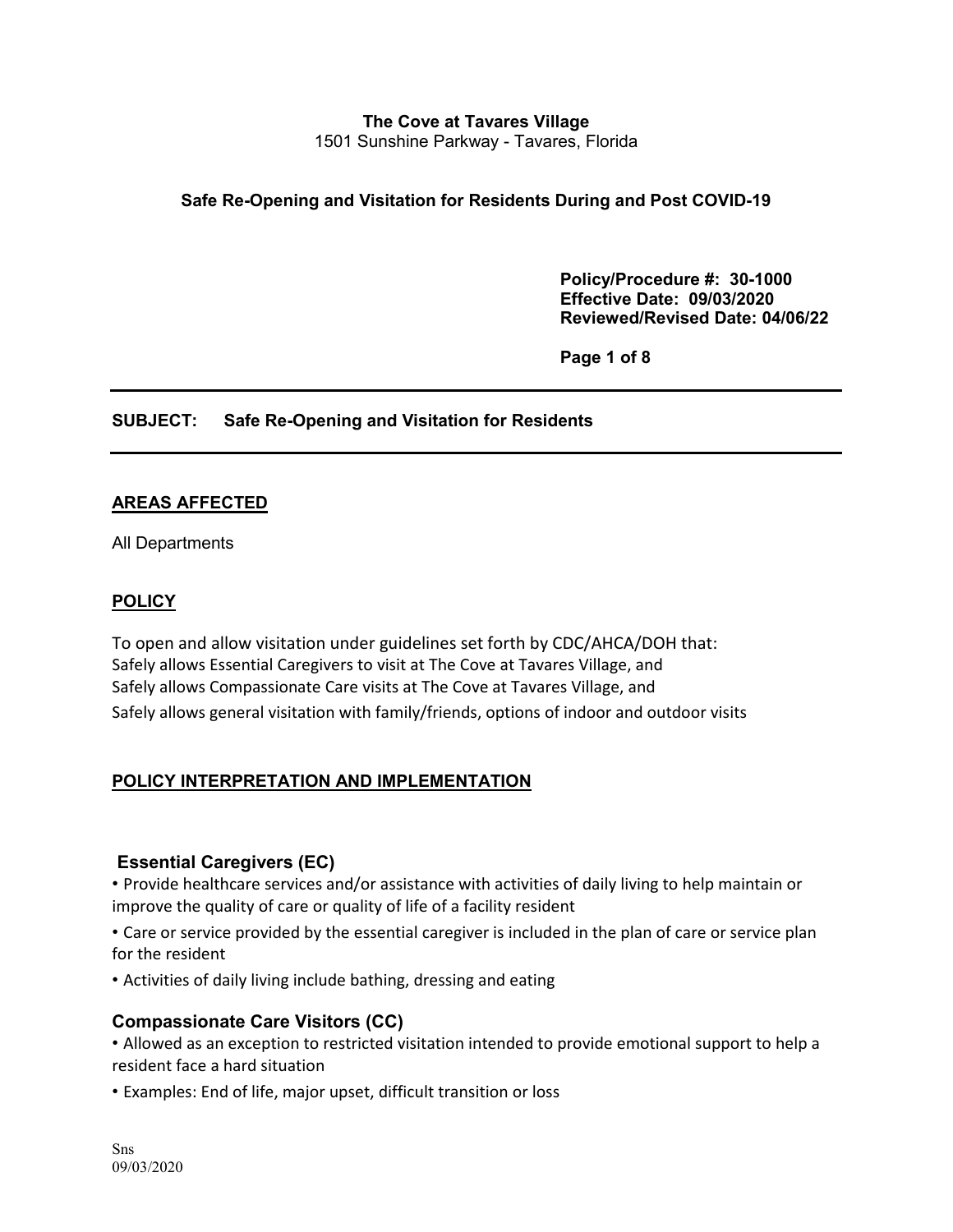## **The Cove at Tavares Village** 1501 Sunshine Parkway - Tavares, Florida

### **Safe Re-Opening and Visitation for Residents During and Post COVID-19**

 **Policy/Procedure #: 30-1000 Effective Date: 09/03/2020 Reviewed/Revised Date: 04/06/22** 

**Page 1 of 8** 

### **SUBJECT: Safe Re-Opening and Visitation for Residents**

#### **AREAS AFFECTED**

All Departments

#### **POLICY**

To open and allow visitation under guidelines set forth by CDC/AHCA/DOH that: Safely allows Essential Caregivers to visit at The Cove at Tavares Village, and Safely allows Compassionate Care visits at The Cove at Tavares Village, and Safely allows general visitation with family/friends, options of indoor and outdoor visits

### **POLICY INTERPRETATION AND IMPLEMENTATION**

#### **Essential Caregivers (EC)**

• Provide healthcare services and/or assistance with activities of daily living to help maintain or improve the quality of care or quality of life of a facility resident

• Care or service provided by the essential caregiver is included in the plan of care or service plan for the resident

• Activities of daily living include bathing, dressing and eating

### **Compassionate Care Visitors (CC)**

• Allowed as an exception to restricted visitation intended to provide emotional support to help a resident face a hard situation

• Examples: End of life, major upset, difficult transition or loss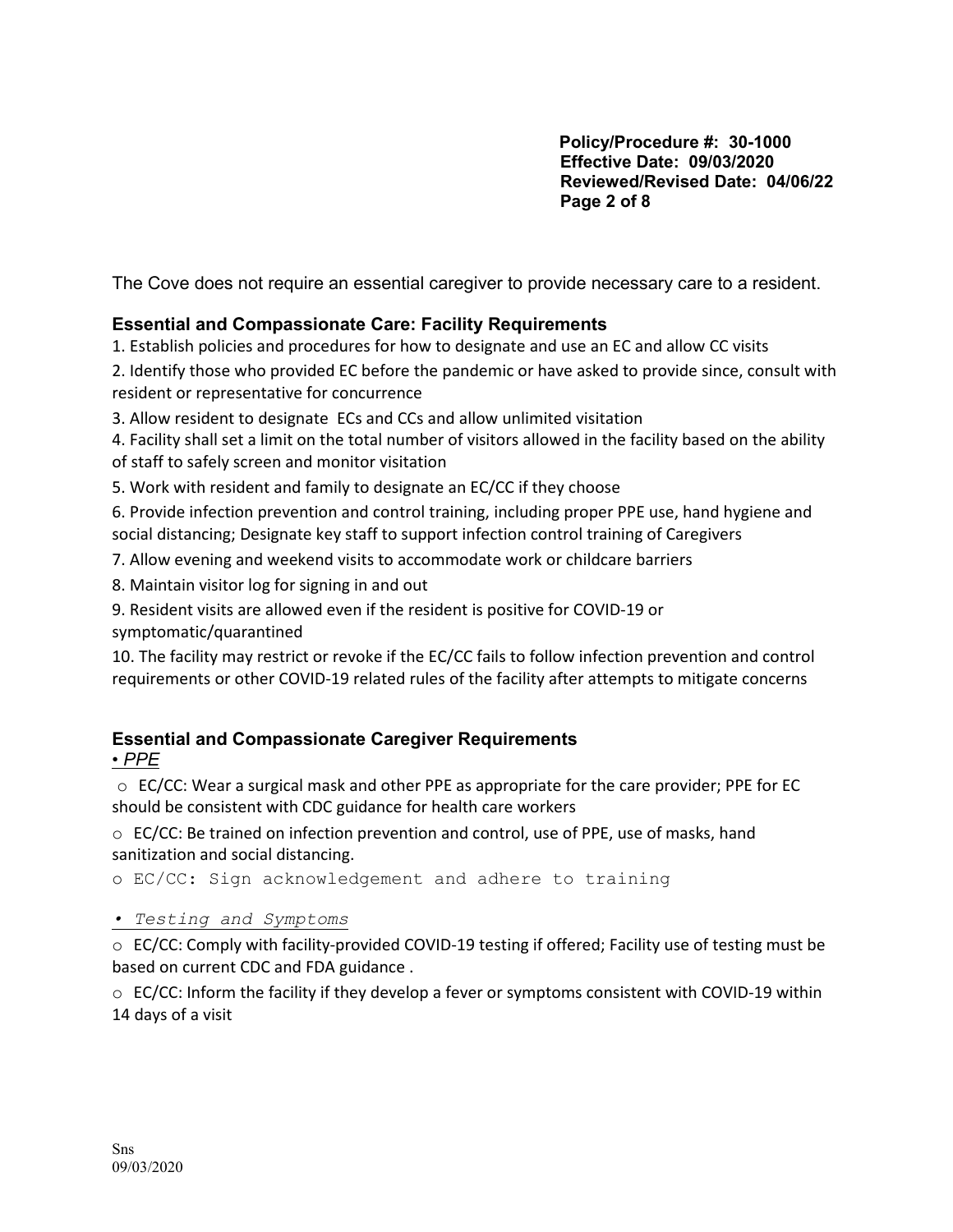**Policy/Procedure #: 30-1000 Effective Date: 09/03/2020 Reviewed/Revised Date: 04/06/22 Page 2 of 8** 

The Cove does not require an essential caregiver to provide necessary care to a resident.

# **Essential and Compassionate Care: Facility Requirements**

1. Establish policies and procedures for how to designate and use an EC and allow CC visits

2. Identify those who provided EC before the pandemic or have asked to provide since, consult with resident or representative for concurrence

3. Allow resident to designate ECs and CCs and allow unlimited visitation

4. Facility shall set a limit on the total number of visitors allowed in the facility based on the ability of staff to safely screen and monitor visitation

5. Work with resident and family to designate an EC/CC if they choose

6. Provide infection prevention and control training, including proper PPE use, hand hygiene and social distancing; Designate key staff to support infection control training of Caregivers

7. Allow evening and weekend visits to accommodate work or childcare barriers

8. Maintain visitor log for signing in and out

9. Resident visits are allowed even if the resident is positive for COVID-19 or symptomatic/quarantined

10. The facility may restrict or revoke if the EC/CC fails to follow infection prevention and control requirements or other COVID-19 related rules of the facility after attempts to mitigate concerns

## **Essential and Compassionate Caregiver Requirements**  *• PPE*

 $\circ$  EC/CC: Wear a surgical mask and other PPE as appropriate for the care provider; PPE for EC should be consistent with CDC guidance for health care workers

 $\circ$  EC/CC: Be trained on infection prevention and control, use of PPE, use of masks, hand sanitization and social distancing.

o EC/CC: Sign acknowledgement and adhere to training

*• Testing and Symptoms*

o EC/CC: Comply with facility-provided COVID-19 testing if offered; Facility use of testing must be based on current CDC and FDA guidance .

 $\circ$  EC/CC: Inform the facility if they develop a fever or symptoms consistent with COVID-19 within 14 days of a visit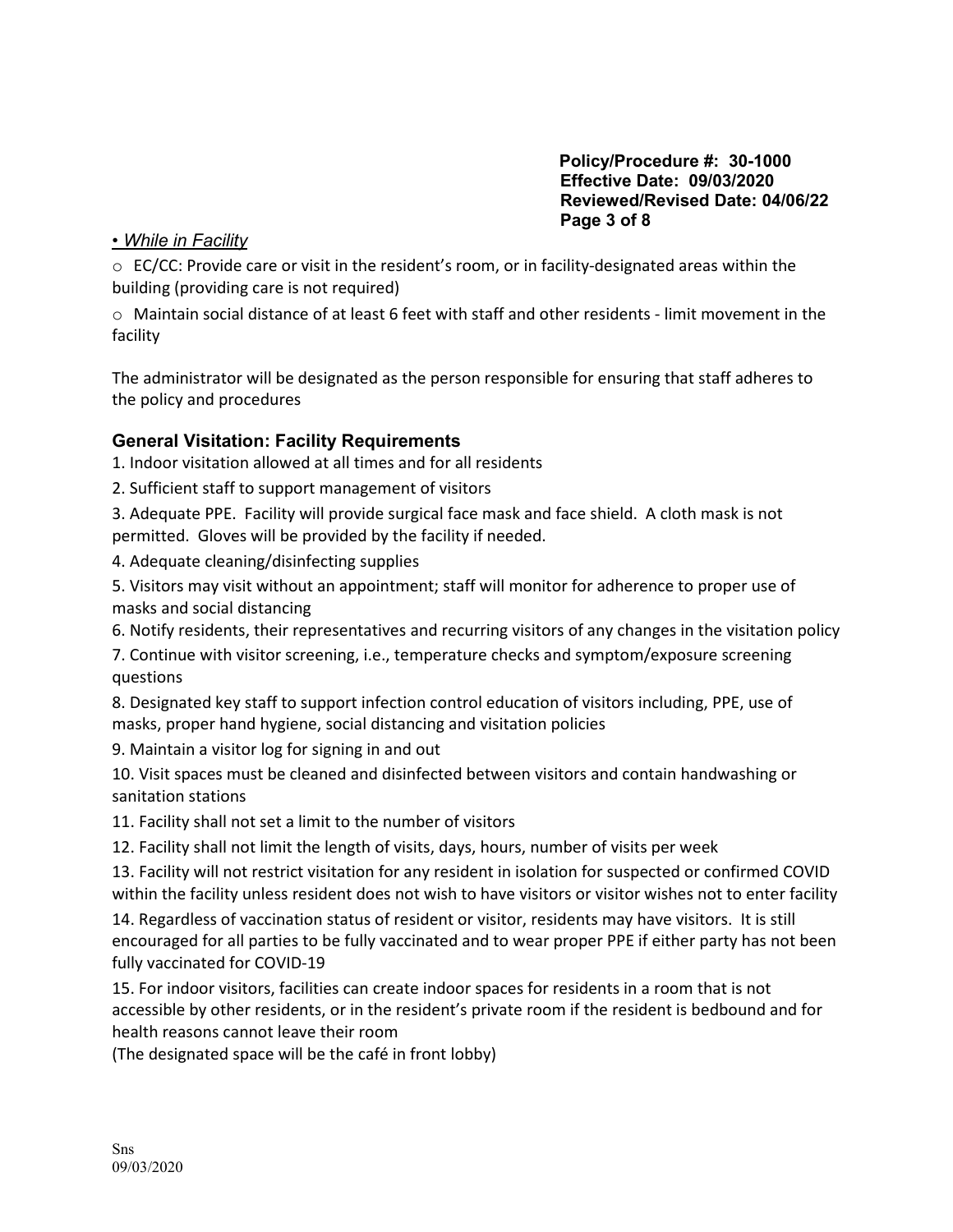**Policy/Procedure #: 30-1000 Effective Date: 09/03/2020 Reviewed/Revised Date: 04/06/22 Page 3 of 8** 

## *• While in Facility*

 $\circ$  EC/CC: Provide care or visit in the resident's room, or in facility-designated areas within the building (providing care is not required)

o Maintain social distance of at least 6 feet with staff and other residents - limit movement in the facility

The administrator will be designated as the person responsible for ensuring that staff adheres to the policy and procedures

## **General Visitation: Facility Requirements**

1. Indoor visitation allowed at all times and for all residents

- 2. Sufficient staff to support management of visitors
- 3. Adequate PPE. Facility will provide surgical face mask and face shield. A cloth mask is not permitted. Gloves will be provided by the facility if needed.

4. Adequate cleaning/disinfecting supplies

5. Visitors may visit without an appointment; staff will monitor for adherence to proper use of masks and social distancing

6. Notify residents, their representatives and recurring visitors of any changes in the visitation policy

7. Continue with visitor screening, i.e., temperature checks and symptom/exposure screening questions

8. Designated key staff to support infection control education of visitors including, PPE, use of masks, proper hand hygiene, social distancing and visitation policies

9. Maintain a visitor log for signing in and out

10. Visit spaces must be cleaned and disinfected between visitors and contain handwashing or sanitation stations

11. Facility shall not set a limit to the number of visitors

12. Facility shall not limit the length of visits, days, hours, number of visits per week

13. Facility will not restrict visitation for any resident in isolation for suspected or confirmed COVID within the facility unless resident does not wish to have visitors or visitor wishes not to enter facility

14. Regardless of vaccination status of resident or visitor, residents may have visitors. It is still encouraged for all parties to be fully vaccinated and to wear proper PPE if either party has not been fully vaccinated for COVID-19

15. For indoor visitors, facilities can create indoor spaces for residents in a room that is not accessible by other residents, or in the resident's private room if the resident is bedbound and for health reasons cannot leave their room

(The designated space will be the café in front lobby)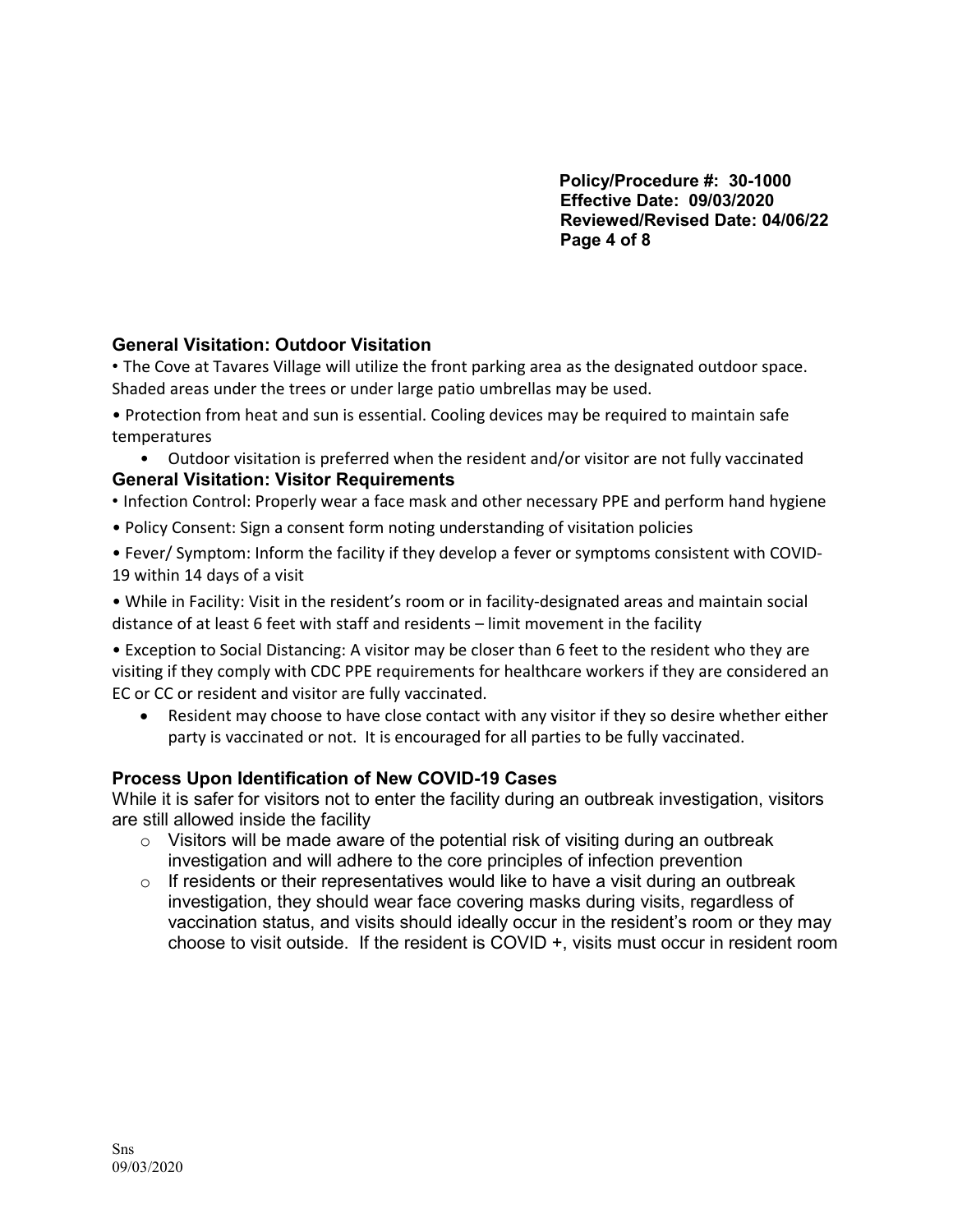**Policy/Procedure #: 30-1000 Effective Date: 09/03/2020 Reviewed/Revised Date: 04/06/22 Page 4 of 8**

# **General Visitation: Outdoor Visitation**

• The Cove at Tavares Village will utilize the front parking area as the designated outdoor space. Shaded areas under the trees or under large patio umbrellas may be used.

• Protection from heat and sun is essential. Cooling devices may be required to maintain safe temperatures

- Outdoor visitation is preferred when the resident and/or visitor are not fully vaccinated **General Visitation: Visitor Requirements**
- Infection Control: Properly wear a face mask and other necessary PPE and perform hand hygiene
- Policy Consent: Sign a consent form noting understanding of visitation policies
- Fever/ Symptom: Inform the facility if they develop a fever or symptoms consistent with COVID-19 within 14 days of a visit

• While in Facility: Visit in the resident's room or in facility-designated areas and maintain social distance of at least 6 feet with staff and residents – limit movement in the facility

• Exception to Social Distancing: A visitor may be closer than 6 feet to the resident who they are visiting if they comply with CDC PPE requirements for healthcare workers if they are considered an EC or CC or resident and visitor are fully vaccinated.

• Resident may choose to have close contact with any visitor if they so desire whether either party is vaccinated or not. It is encouraged for all parties to be fully vaccinated.

## **Process Upon Identification of New COVID-19 Cases**

While it is safer for visitors not to enter the facility during an outbreak investigation, visitors are still allowed inside the facility

- $\circ$  Visitors will be made aware of the potential risk of visiting during an outbreak investigation and will adhere to the core principles of infection prevention
- $\circ$  If residents or their representatives would like to have a visit during an outbreak investigation, they should wear face covering masks during visits, regardless of vaccination status, and visits should ideally occur in the resident's room or they may choose to visit outside. If the resident is COVID +, visits must occur in resident room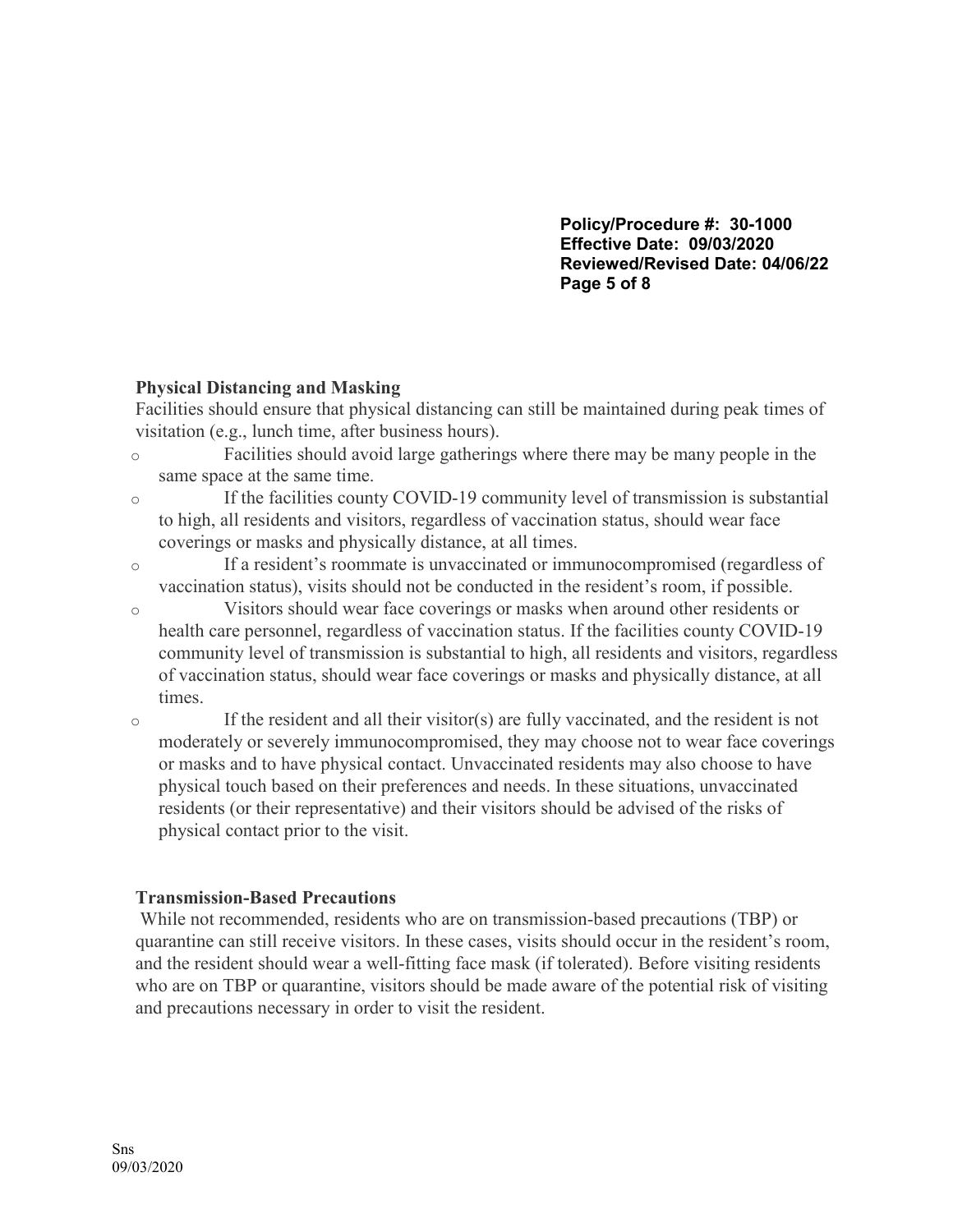**Policy/Procedure #: 30-1000 Effective Date: 09/03/2020 Reviewed/Revised Date: 04/06/22 Page 5 of 8**

### **Physical Distancing and Masking**

Facilities should ensure that physical distancing can still be maintained during peak times of visitation (e.g., lunch time, after business hours).

- o Facilities should avoid large gatherings where there may be many people in the same space at the same time.
- o If the facilities county COVID-19 community level of transmission is substantial to high, all residents and visitors, regardless of vaccination status, should wear face coverings or masks and physically distance, at all times.
- o If a resident's roommate is unvaccinated or immunocompromised (regardless of vaccination status), visits should not be conducted in the resident's room, if possible.
- o Visitors should wear face coverings or masks when around other residents or health care personnel, regardless of vaccination status. If the facilities county COVID-19 community level of transmission is substantial to high, all residents and visitors, regardless of vaccination status, should wear face coverings or masks and physically distance, at all times.
- o If the resident and all their visitor(s) are fully vaccinated, and the resident is not moderately or severely immunocompromised, they may choose not to wear face coverings or masks and to have physical contact. Unvaccinated residents may also choose to have physical touch based on their preferences and needs. In these situations, unvaccinated residents (or their representative) and their visitors should be advised of the risks of physical contact prior to the visit.

## **Transmission-Based Precautions**

While not recommended, residents who are on transmission-based precautions (TBP) or quarantine can still receive visitors. In these cases, visits should occur in the resident's room, and the resident should wear a well-fitting face mask (if tolerated). Before visiting residents who are on TBP or quarantine, visitors should be made aware of the potential risk of visiting and precautions necessary in order to visit the resident.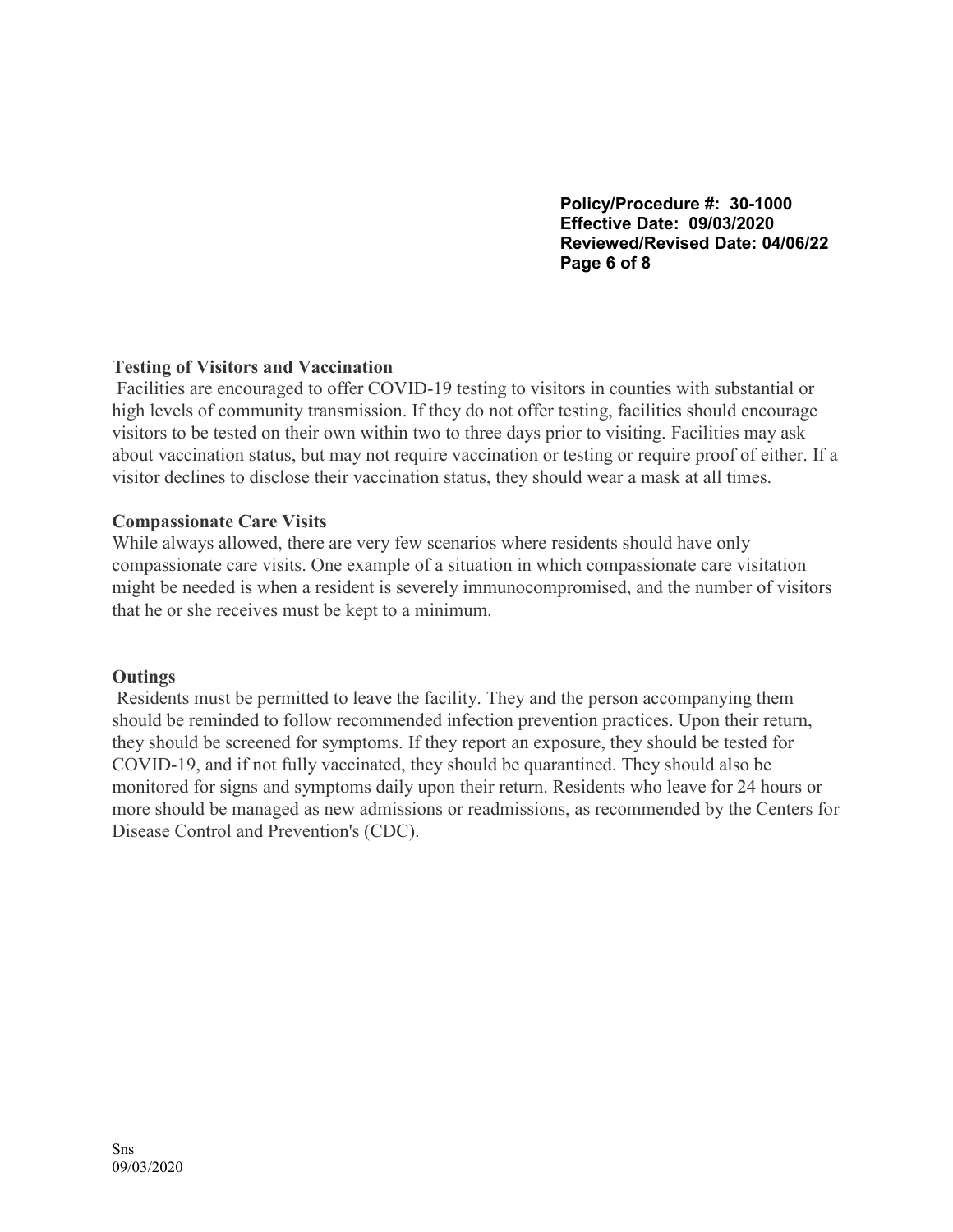**Policy/Procedure #: 30-1000 Effective Date: 09/03/2020 Reviewed/Revised Date: 04/06/22 Page 6 of 8**

## **Testing of Visitors and Vaccination**

Facilities are encouraged to offer COVID-19 testing to visitors in counties with substantial or high levels of community transmission. If they do not offer testing, facilities should encourage visitors to be tested on their own within two to three days prior to visiting. Facilities may ask about vaccination status, but may not require vaccination or testing or require proof of either. If a visitor declines to disclose their vaccination status, they should wear a mask at all times.

## **Compassionate Care Visits**

While always allowed, there are very few scenarios where residents should have only compassionate care visits. One example of a situation in which compassionate care visitation might be needed is when a resident is severely immunocompromised, and the number of visitors that he or she receives must be kept to a minimum.

### **Outings**

Residents must be permitted to leave the facility. They and the person accompanying them should be reminded to follow recommended infection prevention practices. Upon their return, they should be screened for symptoms. If they report an exposure, they should be tested for COVID-19, and if not fully vaccinated, they should be quarantined. They should also be monitored for signs and symptoms daily upon their return. Residents who leave for 24 hours or more should be managed as new admissions or readmissions, as recommended by the Centers for Disease Control and Prevention's (CDC).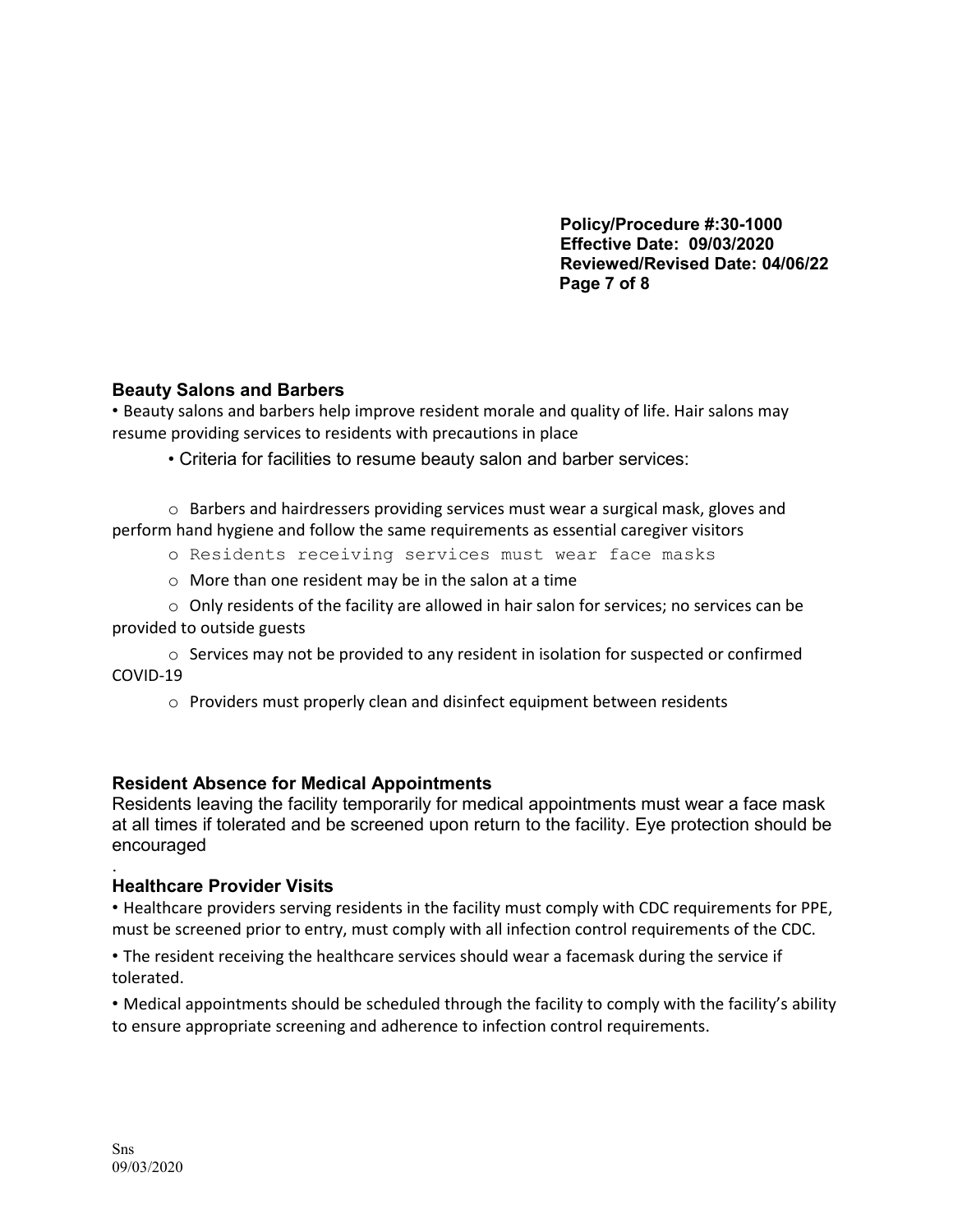**Policy/Procedure #:30-1000 Effective Date: 09/03/2020 Reviewed/Revised Date: 04/06/22 Page 7 of 8**

## **Beauty Salons and Barbers**

• Beauty salons and barbers help improve resident morale and quality of life. Hair salons may resume providing services to residents with precautions in place

• Criteria for facilities to resume beauty salon and barber services:

 $\circ$  Barbers and hairdressers providing services must wear a surgical mask, gloves and perform hand hygiene and follow the same requirements as essential caregiver visitors

- o Residents receiving services must wear face masks
- o More than one resident may be in the salon at a time

 $\circ$  Only residents of the facility are allowed in hair salon for services; no services can be provided to outside guests

 $\circ$  Services may not be provided to any resident in isolation for suspected or confirmed COVID-19

o Providers must properly clean and disinfect equipment between residents

## **Resident Absence for Medical Appointments**

Residents leaving the facility temporarily for medical appointments must wear a face mask at all times if tolerated and be screened upon return to the facility. Eye protection should be encouraged

#### . **Healthcare Provider Visits**

• Healthcare providers serving residents in the facility must comply with CDC requirements for PPE, must be screened prior to entry, must comply with all infection control requirements of the CDC.

• The resident receiving the healthcare services should wear a facemask during the service if tolerated.

• Medical appointments should be scheduled through the facility to comply with the facility's ability to ensure appropriate screening and adherence to infection control requirements.